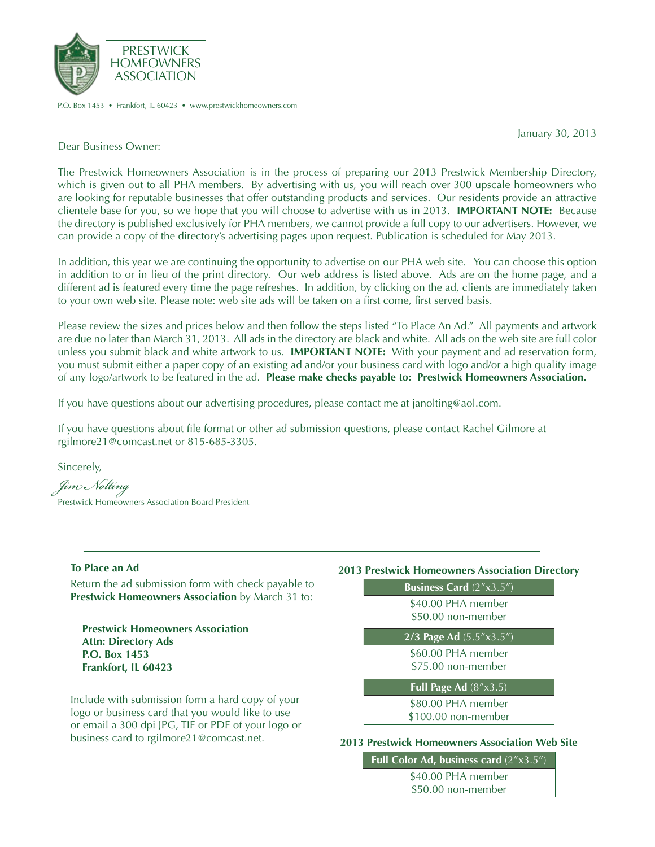

P.O. Box 1453 • Frankfort, IL 60423 • www.prestwickhomeowners.com

January 30, 2013

Dear Business Owner:

The Prestwick Homeowners Association is in the process of preparing our 2013 Prestwick Membership Directory, which is given out to all PHA members. By advertising with us, you will reach over 300 upscale homeowners who are looking for reputable businesses that offer outstanding products and services. Our residents provide an attractive clientele base for you, so we hope that you will choose to advertise with us in 2013. **IMPORTANT NOTE:** Because the directory is published exclusively for PHA members, we cannot provide a full copy to our advertisers. However, we can provide a copy of the directory's advertising pages upon request. Publication is scheduled for May 2013.

In addition, this year we are continuing the opportunity to advertise on our PHA web site. You can choose this option in addition to or in lieu of the print directory. Our web address is listed above. Ads are on the home page, and a different ad is featured every time the page refreshes. In addition, by clicking on the ad, clients are immediately taken to your own web site. Please note: web site ads will be taken on a first come, first served basis.

Please review the sizes and prices below and then follow the steps listed "To Place An Ad." All payments and artwork are due no later than March 31, 2013. All ads in the directory are black and white. All ads on the web site are full color unless you submit black and white artwork to us. **IMPORTANT NOTE:** With your payment and ad reservation form, you must submit either a paper copy of an existing ad and/or your business card with logo and/or a high quality image of any logo/artwork to be featured in the ad. **Please make checks payable to: Prestwick Homeowners Association.**

If you have questions about our advertising procedures, please contact me at janolting@aol.com.

If you have questions about file format or other ad submission questions, please contact Rachel Gilmore at rgilmore21@comcast.net or 815-685-3305.

Sincerely,

*Jim Nolting* Prestwick Homeowners Association Board President

## **To Place an Ad**

Return the ad submission form with check payable to **Prestwick Homeowners Association** by March 31 to:

**Prestwick Homeowners Association Attn: Directory Ads P.O. Box 1453 Frankfort, IL 60423**

Include with submission form a hard copy of your logo or business card that you would like to use or email a 300 dpi JPG, TIF or PDF of your logo or business card to rgilmore21@comcast.net.

## **2013 Prestwick Homeowners Association Directory**

| Business Card $(2''x3.5'')$               |  |
|-------------------------------------------|--|
| \$40.00 PHA member<br>\$50.00 non-member  |  |
| 2/3 Page Ad (5.5"x3.5")                   |  |
| \$60.00 PHA member<br>\$75.00 non-member  |  |
| Full Page Ad $(8" \times 3.5)$            |  |
| \$80.00 PHA member<br>\$100.00 non-member |  |

### **2013 Prestwick Homeowners Association Web Site**

**Full Color Ad, business card** (2"x3.5") \$40.00 PHA member

\$50.00 non-member